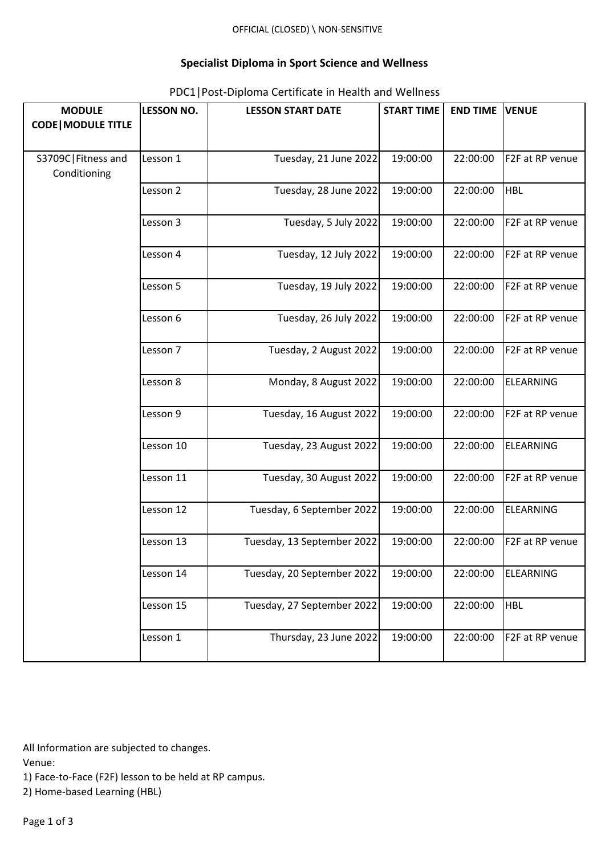## **Specialist Diploma in Sport Science and Wellness**

| <b>MODULE</b>                        | <b>LESSON NO.</b> | <b>LESSON START DATE</b>   | <b>START TIME</b> | <b>END TIME</b> | <b>VENUE</b>     |
|--------------------------------------|-------------------|----------------------------|-------------------|-----------------|------------------|
| <b>CODE   MODULE TITLE</b>           |                   |                            |                   |                 |                  |
|                                      |                   |                            |                   |                 |                  |
| S3709C   Fitness and<br>Conditioning | Lesson 1          | Tuesday, 21 June 2022      | 19:00:00          | 22:00:00        | F2F at RP venue  |
|                                      | Lesson 2          | Tuesday, 28 June 2022      | 19:00:00          | 22:00:00        | <b>HBL</b>       |
|                                      | Lesson 3          | Tuesday, 5 July 2022       | 19:00:00          | 22:00:00        | F2F at RP venue  |
|                                      | Lesson 4          | Tuesday, 12 July 2022      | 19:00:00          | 22:00:00        | F2F at RP venue  |
|                                      | Lesson 5          | Tuesday, 19 July 2022      | 19:00:00          | 22:00:00        | F2F at RP venue  |
|                                      | Lesson 6          | Tuesday, 26 July 2022      | 19:00:00          | 22:00:00        | F2F at RP venue  |
|                                      | Lesson 7          | Tuesday, 2 August 2022     | 19:00:00          | 22:00:00        | F2F at RP venue  |
|                                      | Lesson 8          | Monday, 8 August 2022      | 19:00:00          | 22:00:00        | <b>ELEARNING</b> |
|                                      | Lesson 9          | Tuesday, 16 August 2022    | 19:00:00          | 22:00:00        | F2F at RP venue  |
|                                      | Lesson 10         | Tuesday, 23 August 2022    | 19:00:00          | 22:00:00        | <b>ELEARNING</b> |
|                                      | Lesson 11         | Tuesday, 30 August 2022    | 19:00:00          | 22:00:00        | F2F at RP venue  |
|                                      | Lesson 12         | Tuesday, 6 September 2022  | 19:00:00          | 22:00:00        | <b>ELEARNING</b> |
|                                      | Lesson 13         | Tuesday, 13 September 2022 | 19:00:00          | 22:00:00        | F2F at RP venue  |
|                                      | Lesson 14         | Tuesday, 20 September 2022 | 19:00:00          | 22:00:00        | <b>ELEARNING</b> |
|                                      | Lesson 15         | Tuesday, 27 September 2022 | 19:00:00          | 22:00:00        | <b>HBL</b>       |
|                                      | Lesson 1          | Thursday, 23 June 2022     | 19:00:00          | 22:00:00        | F2F at RP venue  |

## PDC1|Post-Diploma Certificate in Health and Wellness

All Information are subjected to changes.

Venue:

1) Face-to-Face (F2F) lesson to be held at RP campus.

2) Home-based Learning (HBL)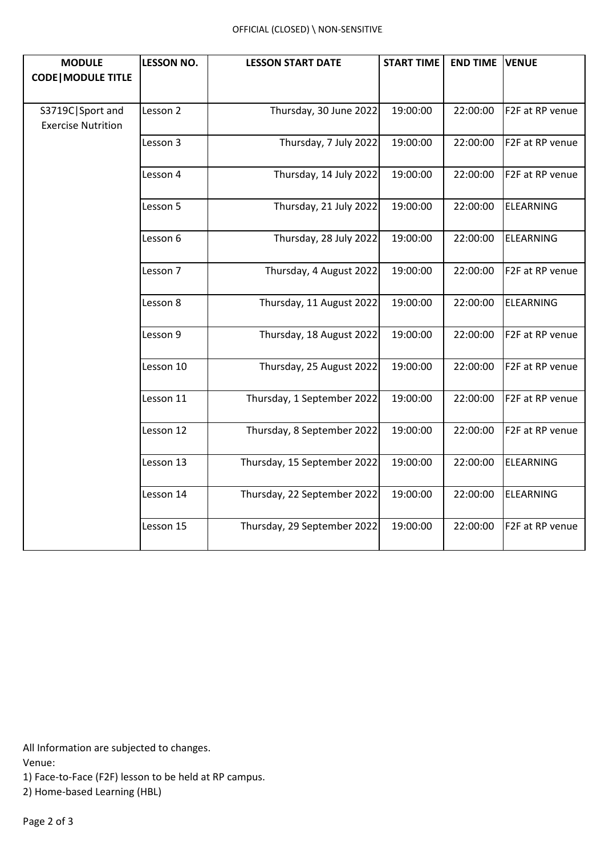| <b>MODULE</b>                                 | <b>LESSON NO.</b> | <b>LESSON START DATE</b>    | <b>START TIME</b> | <b>END TIME</b> | <b>VENUE</b>     |
|-----------------------------------------------|-------------------|-----------------------------|-------------------|-----------------|------------------|
| <b>CODE   MODULE TITLE</b>                    |                   |                             |                   |                 |                  |
| S3719C Sport and<br><b>Exercise Nutrition</b> | Lesson 2          | Thursday, 30 June 2022      | 19:00:00          | 22:00:00        | F2F at RP venue  |
|                                               | Lesson 3          | Thursday, 7 July 2022       | 19:00:00          | 22:00:00        | F2F at RP venue  |
|                                               | Lesson 4          | Thursday, 14 July 2022      | 19:00:00          | 22:00:00        | F2F at RP venue  |
|                                               | Lesson 5          | Thursday, 21 July 2022      | 19:00:00          | 22:00:00        | <b>ELEARNING</b> |
|                                               | Lesson 6          | Thursday, 28 July 2022      | 19:00:00          | 22:00:00        | <b>ELEARNING</b> |
|                                               | Lesson 7          | Thursday, 4 August 2022     | 19:00:00          | 22:00:00        | F2F at RP venue  |
|                                               | Lesson 8          | Thursday, 11 August 2022    | 19:00:00          | 22:00:00        | <b>ELEARNING</b> |
|                                               | Lesson 9          | Thursday, 18 August 2022    | 19:00:00          | 22:00:00        | F2F at RP venue  |
|                                               | Lesson 10         | Thursday, 25 August 2022    | 19:00:00          | 22:00:00        | F2F at RP venue  |
|                                               | Lesson 11         | Thursday, 1 September 2022  | 19:00:00          | 22:00:00        | F2F at RP venue  |
|                                               | Lesson 12         | Thursday, 8 September 2022  | 19:00:00          | 22:00:00        | F2F at RP venue  |
|                                               | Lesson 13         | Thursday, 15 September 2022 | 19:00:00          | 22:00:00        | <b>ELEARNING</b> |
|                                               | Lesson 14         | Thursday, 22 September 2022 | 19:00:00          | 22:00:00        | <b>ELEARNING</b> |
|                                               | Lesson 15         | Thursday, 29 September 2022 | 19:00:00          | 22:00:00        | F2F at RP venue  |

All Information are subjected to changes.

Venue:

1) Face-to-Face (F2F) lesson to be held at RP campus.

2) Home-based Learning (HBL)